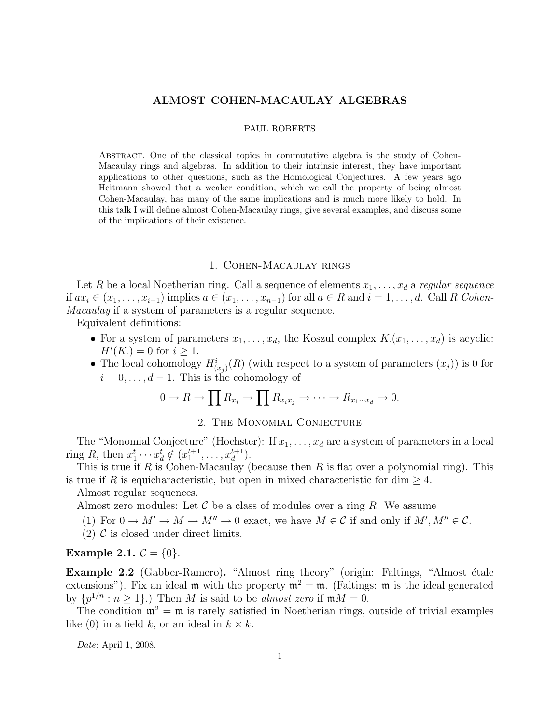## **ALMOST COHEN-MACAULAY ALGEBRAS**

## PAUL ROBERTS

Abstract. One of the classical topics in commutative algebra is the study of Cohen-Macaulay rings and algebras. In addition to their intrinsic interest, they have important applications to other questions, such as the Homological Conjectures. A few years ago Heitmann showed that a weaker condition, which we call the property of being almost Cohen-Macaulay, has many of the same implications and is much more likely to hold. In this talk I will define almost Cohen-Macaulay rings, give several examples, and discuss some of the implications of their existence.

## 1. Cohen-Macaulay rings

Let R be a local Noetherian ring. Call a sequence of elements  $x_1, \ldots, x_d$  a regular sequence if  $ax_i$  ∈  $(x_1, \ldots, x_{i-1})$  implies  $a \in (x_1, \ldots, x_{n-1})$  for all  $a \in R$  and  $i = 1, \ldots, d$ . Call R Cohen-Macaulay if a system of parameters is a regular sequence.

Equivalent definitions:

- For a system of parameters  $x_1, \ldots, x_d$ , the Koszul complex  $K(x_1, \ldots, x_d)$  is acyclic:  $H^{i}(K) = 0$  for  $i \geq 1$ .
- The local cohomology  $H^i_{(x_i)}(R)$  (with respect to a system of parameters  $(x_j)$ ) is 0 for  $i = 0, \ldots, d - 1$ . This is the cohomology of

$$
0 \to R \to \prod R_{x_i} \to \prod R_{x_ix_j} \to \cdots \to R_{x_1 \cdots x_d} \to 0.
$$

## 2. The Monomial Conjecture

The "Monomial Conjecture" (Hochster): If  $x_1, \ldots, x_d$  are a system of parameters in a local ring R, then  $x_1^t \cdots x_d^t \notin (x_1^{t+1}, \ldots, x_d^{t+1}).$ 

This is true if R is Cohen-Macaulay (because then R is flat over a polynomial ring). This is true if R is equicharacteristic, but open in mixed characteristic for dim  $\geq 4$ .

Almost regular sequences.

Almost zero modules: Let  $\mathcal C$  be a class of modules over a ring R. We assume

- (1) For  $0 \to M' \to M \to M'' \to 0$  exact, we have  $M \in \mathcal{C}$  if and only if  $M', M'' \in \mathcal{C}$ .
- (2)  $\mathcal{C}$  is closed under direct limits.

**Example 2.1.**  $C = \{0\}.$ 

**Example 2.2** (Gabber-Ramero). "Almost ring theory" (origin: Faltings, "Almost étale extensions"). Fix an ideal m with the property  $m^2 = m$ . (Faltings: m is the ideal generated by  $\{p^{1/n}: n \ge 1\}$ .) Then M is said to be almost zero if  $mM = 0$ .

The condition  $\mathfrak{m}^2 = \mathfrak{m}$  is rarely satisfied in Noetherian rings, outside of trivial examples like (0) in a field k, or an ideal in  $k \times k$ .

Date: April 1, 2008.